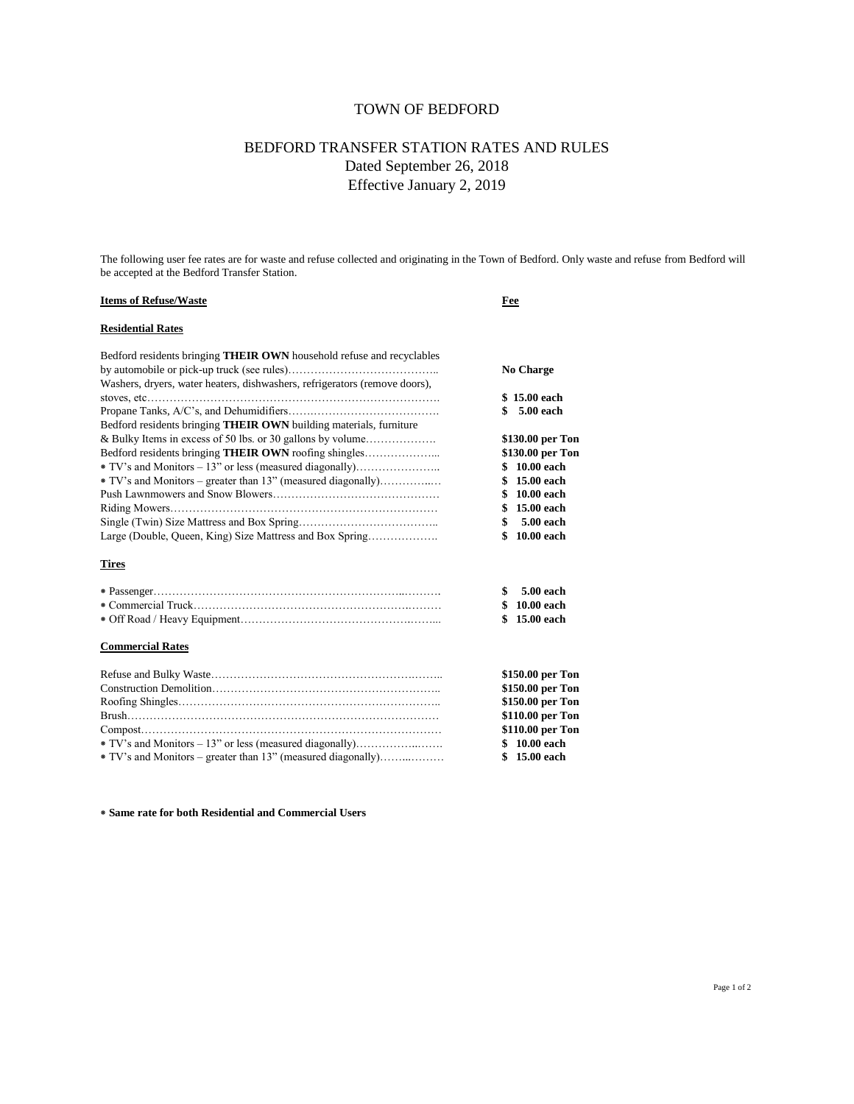# TOWN OF BEDFORD

# BEDFORD TRANSFER STATION RATES AND RULES Dated September 26, 2018 Effective January 2, 2019

The following user fee rates are for waste and refuse collected and originating in the Town of Bedford. Only waste and refuse from Bedford will be accepted at the Bedford Transfer Station.

## **Items of Refuse/Waste Fee**

# **Residential Rates**

| Bedford residents bringing <b>THEIR OWN</b> household refuse and recyclables                                                     | <b>No Charge</b>                                         |                                                                |                   |
|----------------------------------------------------------------------------------------------------------------------------------|----------------------------------------------------------|----------------------------------------------------------------|-------------------|
| Washers, dryers, water heaters, dishwashers, refrigerators (remove doors),                                                       |                                                          |                                                                |                   |
|                                                                                                                                  | \$15.00 each                                             |                                                                |                   |
|                                                                                                                                  | \$ 5.00 each                                             |                                                                |                   |
| Bedford residents bringing THEIR OWN building materials, furniture<br>& Bulky Items in excess of 50 lbs. or 30 gallons by volume | \$130.00 per Ton<br>\$130.00 per Ton                     |                                                                |                   |
|                                                                                                                                  |                                                          |                                                                | \$10.00 each      |
|                                                                                                                                  |                                                          | $*$ TV's and Monitors – greater than 13" (measured diagonally) | 15.00 each<br>\$. |
|                                                                                                                                  | 10.00 each<br>\$<br>15.00 each<br>\$.<br>5.00 each<br>\$ |                                                                |                   |
|                                                                                                                                  |                                                          | Large (Double, Queen, King) Size Mattress and Box Spring       | 10.00 each<br>\$  |
|                                                                                                                                  |                                                          | <b>Tires</b>                                                   |                   |
|                                                                                                                                  | 5.00 each<br>\$                                          |                                                                |                   |
|                                                                                                                                  | 10.00 each<br>\$                                         |                                                                |                   |

# ⁕ Off Road / Heavy Equipment……………………………………….……... **\$ 15.00 each**

#### **Commercial Rates**

|                                                            | \$150.00 per Ton |
|------------------------------------------------------------|------------------|
|                                                            | \$150.00 per Ton |
|                                                            | \$150.00 per Ton |
|                                                            | \$110.00 per Ton |
|                                                            | \$110.00 per Ton |
| * TV's and Monitors – 13" or less (measured diagonally)    | \$ 10.00 each    |
| TV's and Monitors – greater than 13" (measured diagonally) | \$15.00 each     |
|                                                            |                  |

⁕ Commercial Truck………………………………………………….……… **\$ 10.00 each**

**⁕ Same rate for both Residential and Commercial Users**